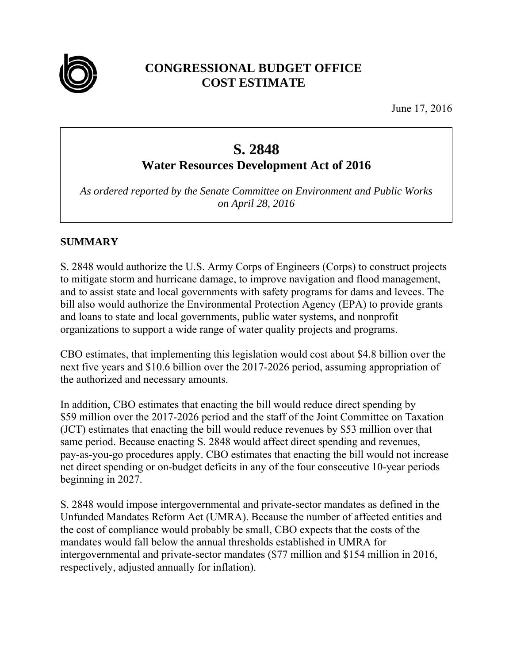

# **CONGRESSIONAL BUDGET OFFICE COST ESTIMATE**

June 17, 2016

# **S. 2848**

# **Water Resources Development Act of 2016**

*As ordered reported by the Senate Committee on Environment and Public Works on April 28, 2016* 

# **SUMMARY**

S. 2848 would authorize the U.S. Army Corps of Engineers (Corps) to construct projects to mitigate storm and hurricane damage, to improve navigation and flood management, and to assist state and local governments with safety programs for dams and levees. The bill also would authorize the Environmental Protection Agency (EPA) to provide grants and loans to state and local governments, public water systems, and nonprofit organizations to support a wide range of water quality projects and programs.

CBO estimates, that implementing this legislation would cost about \$4.8 billion over the next five years and \$10.6 billion over the 2017-2026 period, assuming appropriation of the authorized and necessary amounts.

In addition, CBO estimates that enacting the bill would reduce direct spending by \$59 million over the 2017-2026 period and the staff of the Joint Committee on Taxation (JCT) estimates that enacting the bill would reduce revenues by \$53 million over that same period. Because enacting S. 2848 would affect direct spending and revenues, pay-as-you-go procedures apply. CBO estimates that enacting the bill would not increase net direct spending or on-budget deficits in any of the four consecutive 10-year periods beginning in 2027.

S. 2848 would impose intergovernmental and private-sector mandates as defined in the Unfunded Mandates Reform Act (UMRA). Because the number of affected entities and the cost of compliance would probably be small, CBO expects that the costs of the mandates would fall below the annual thresholds established in UMRA for intergovernmental and private-sector mandates (\$77 million and \$154 million in 2016, respectively, adjusted annually for inflation).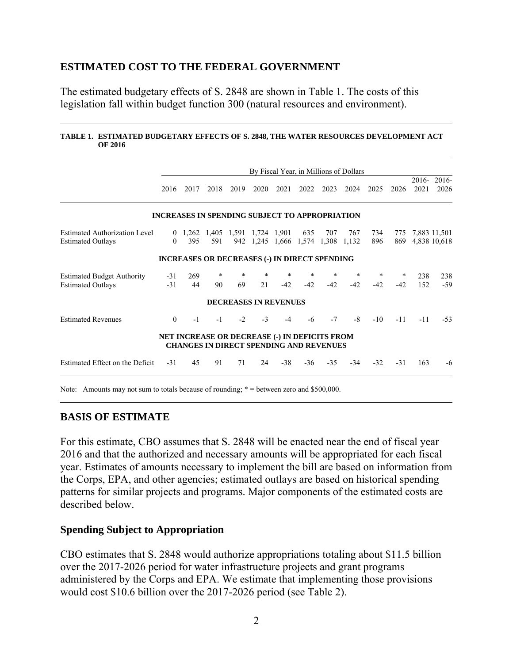### **ESTIMATED COST TO THE FEDERAL GOVERNMENT**

The estimated budgetary effects of S. 2848 are shown in Table 1. The costs of this legislation fall within budget function 300 (natural resources and environment).

#### **TABLE 1. ESTIMATED BUDGETARY EFFECTS OF S. 2848, THE WATER RESOURCES DEVELOPMENT ACT OF 2016**

|                                                                                            |                |           |              |                                                                                                        |      |                                   |            |                 | By Fiscal Year, in Millions of Dollars |                 |                 |            |                              |
|--------------------------------------------------------------------------------------------|----------------|-----------|--------------|--------------------------------------------------------------------------------------------------------|------|-----------------------------------|------------|-----------------|----------------------------------------|-----------------|-----------------|------------|------------------------------|
|                                                                                            | 2016           | 2017      | 2018         | 2019                                                                                                   | 2020 | 2021                              | 2022       | 2023            | 2024                                   | 2025            | 2026            | 2021       | 2016-2016-<br>2026           |
|                                                                                            |                |           |              | <b>INCREASES IN SPENDING SUBJECT TO APPROPRIATION</b>                                                  |      |                                   |            |                 |                                        |                 |                 |            |                              |
| <b>Estimated Authorization Level</b><br><b>Estimated Outlays</b>                           | $\Omega$       | 395       | 591          | 0 1,262 1,405 1,591 1,724 1,901                                                                        |      | 942 1,245 1,666 1,574 1,308 1,132 | 635        | 707             | 767                                    | 734<br>896      | 775<br>869      |            | 7,883 11,501<br>4,838 10,618 |
|                                                                                            |                |           |              | <b>INCREASES OR DECREASES (-) IN DIRECT SPENDING</b>                                                   |      |                                   |            |                 |                                        |                 |                 |            |                              |
| <b>Estimated Budget Authority</b><br><b>Estimated Outlays</b>                              | $-31$<br>$-31$ | 269<br>44 | $\ast$<br>90 | *<br>69                                                                                                | 21   | *<br>$-42$                        | *<br>$-42$ | $\ast$<br>$-42$ | $\ast$<br>$-42$                        | $\ast$<br>$-42$ | $\ast$<br>$-42$ | 238<br>152 | 238<br>$-59$                 |
|                                                                                            |                |           |              | <b>DECREASES IN REVENUES</b>                                                                           |      |                                   |            |                 |                                        |                 |                 |            |                              |
| <b>Estimated Revenues</b>                                                                  | $\theta$       | $-1$      | $-1$         | $-2$                                                                                                   | $-3$ | $-4$                              | -6         | $-7$            | $-8$                                   | $-10^{-}$       | $-11$           | $-11$      | $-53$                        |
|                                                                                            |                |           |              | <b>NET INCREASE OR DECREASE (-) IN DEFICITS FROM</b><br><b>CHANGES IN DIRECT SPENDING AND REVENUES</b> |      |                                   |            |                 |                                        |                 |                 |            |                              |
| Estimated Effect on the Deficit                                                            | $-31$          | 45        | 91           | 71                                                                                                     | 24   | $-38$                             | $-36$      | $-35$           | $-34$                                  | $-32$           | $-31$           | 163        | $-6$                         |
| Note: Amounts may not sum to totals because of rounding; $* =$ between zero and \$500,000. |                |           |              |                                                                                                        |      |                                   |            |                 |                                        |                 |                 |            |                              |

### **BASIS OF ESTIMATE**

For this estimate, CBO assumes that S. 2848 will be enacted near the end of fiscal year 2016 and that the authorized and necessary amounts will be appropriated for each fiscal year. Estimates of amounts necessary to implement the bill are based on information from the Corps, EPA, and other agencies; estimated outlays are based on historical spending patterns for similar projects and programs. Major components of the estimated costs are described below.

### **Spending Subject to Appropriation**

CBO estimates that S. 2848 would authorize appropriations totaling about \$11.5 billion over the 2017-2026 period for water infrastructure projects and grant programs administered by the Corps and EPA. We estimate that implementing those provisions would cost \$10.6 billion over the 2017-2026 period (see Table 2).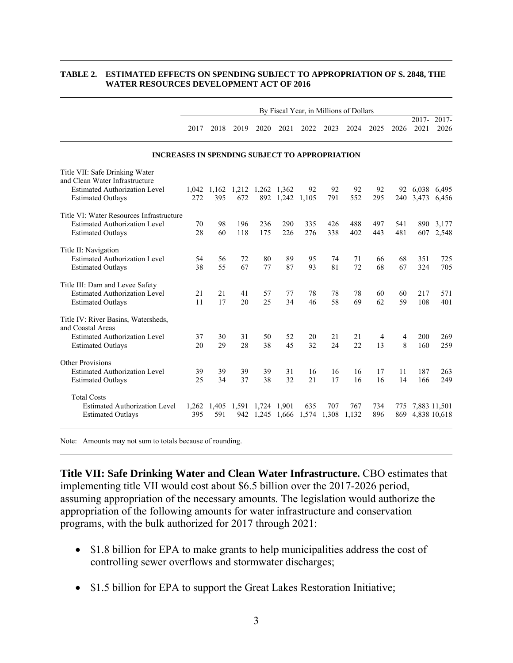#### **TABLE 2. ESTIMATED EFFECTS ON SPENDING SUBJECT TO APPROPRIATION OF S. 2848, THE WATER RESOURCES DEVELOPMENT ACT OF 2016**

|                                                                  | By Fiscal Year, in Millions of Dollars                |                   |                               |             |                   |       |       |       |      |      |                  |                  |
|------------------------------------------------------------------|-------------------------------------------------------|-------------------|-------------------------------|-------------|-------------------|-------|-------|-------|------|------|------------------|------------------|
|                                                                  | 2017                                                  | 2018              | 2019                          | 2020        | 2021              | 2022  | 2023  | 2024  | 2025 | 2026 | $2017 -$<br>2021 | $2017 -$<br>2026 |
|                                                                  | <b>INCREASES IN SPENDING SUBJECT TO APPROPRIATION</b> |                   |                               |             |                   |       |       |       |      |      |                  |                  |
| Title VII: Safe Drinking Water<br>and Clean Water Infrastructure |                                                       |                   |                               |             |                   |       |       |       |      |      |                  |                  |
| <b>Estimated Authorization Level</b>                             |                                                       |                   | 1,042 1,162 1,212 1,262 1,362 |             |                   | 92    | 92    | 92    | 92   |      | 92 6,038 6,495   |                  |
| <b>Estimated Outlays</b>                                         | 272                                                   | 395               | 672                           |             | 892 1,242         | 1,105 | 791   | 552   | 295  |      | 240 3,473        | 6,456            |
| Title VI: Water Resources Infrastructure                         |                                                       |                   |                               |             |                   |       |       |       |      |      |                  |                  |
| <b>Estimated Authorization Level</b>                             | 70                                                    | 98                | 196                           | 236         | 290               | 335   | 426   | 488   | 497  | 541  | 890              | 3,177            |
| <b>Estimated Outlays</b>                                         | 28                                                    | 60                | 118                           | 175         | 226               | 276   | 338   | 402   | 443  | 481  | 607              | 2,548            |
| Title II: Navigation                                             |                                                       |                   |                               |             |                   |       |       |       |      |      |                  |                  |
| <b>Estimated Authorization Level</b>                             | 54                                                    | 56                | 72                            | 80          | 89                | 95    | 74    | 71    | 66   | 68   | 351              | 725              |
| <b>Estimated Outlays</b>                                         | 38                                                    | 55                | 67                            | 77          | 87                | 93    | 81    | 72    | 68   | 67   | 324              | 705              |
| Title III: Dam and Levee Safety                                  |                                                       |                   |                               |             |                   |       |       |       |      |      |                  |                  |
| <b>Estimated Authorization Level</b>                             | 21                                                    | 21                | 41                            | 57          | 77                | 78    | 78    | 78    | 60   | 60   | 217              | 571              |
| <b>Estimated Outlays</b>                                         | 11                                                    | 17                | 20                            | 25          | 34                | 46    | 58    | 69    | 62   | 59   | 108              | 401              |
| Title IV: River Basins, Watersheds,<br>and Coastal Areas         |                                                       |                   |                               |             |                   |       |       |       |      |      |                  |                  |
| <b>Estimated Authorization Level</b>                             | 37                                                    | 30                | 31                            | 50          | 52                | 20    | 21    | 21    | 4    | 4    | 200              | 269              |
| <b>Estimated Outlays</b>                                         | 20                                                    | 29                | 28                            | 38          | 45                | 32    | 24    | 22    | 13   | 8    | 160              | 259              |
| <b>Other Provisions</b>                                          |                                                       |                   |                               |             |                   |       |       |       |      |      |                  |                  |
| <b>Estimated Authorization Level</b>                             | 39                                                    | 39                | 39                            | 39          | 31                | 16    | 16    | 16    | 17   | 11   | 187              | 263              |
| <b>Estimated Outlays</b>                                         | 25                                                    | 34                | 37                            | 38          | 32                | 21    | 17    | 16    | 16   | 14   | 166              | 249              |
| <b>Total Costs</b>                                               |                                                       |                   |                               |             |                   |       |       |       |      |      |                  |                  |
| <b>Estimated Authorization Level</b>                             |                                                       | 1,262 1,405 1,591 |                               | 1,724 1,901 |                   | 635   | 707   | 767   | 734  | 775  | 7,883 11,501     |                  |
| <b>Estimated Outlays</b>                                         | 395                                                   | 591               | 942                           |             | 1,245 1,666 1,574 |       | 1,308 | 1,132 | 896  | 869  |                  | 4,838 10,618     |

Note: Amounts may not sum to totals because of rounding.

**Title VII: Safe Drinking Water and Clean Water Infrastructure.** CBO estimates that implementing title VII would cost about \$6.5 billion over the 2017-2026 period, assuming appropriation of the necessary amounts. The legislation would authorize the appropriation of the following amounts for water infrastructure and conservation programs, with the bulk authorized for 2017 through 2021:

- \$1.8 billion for EPA to make grants to help municipalities address the cost of controlling sewer overflows and stormwater discharges;
- \$1.5 billion for EPA to support the Great Lakes Restoration Initiative;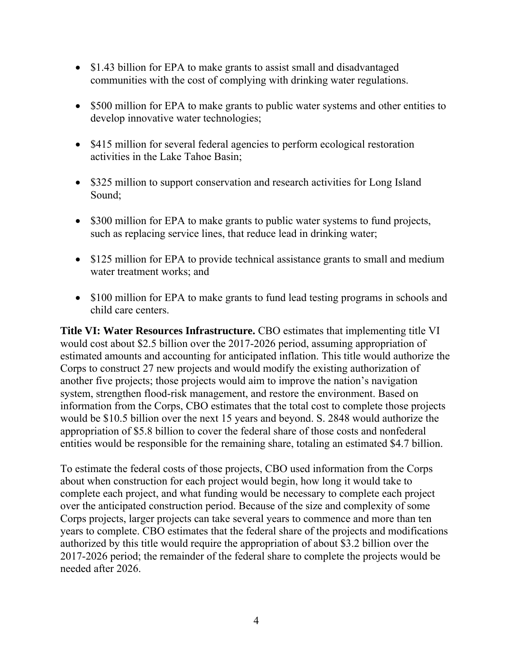- \$1.43 billion for EPA to make grants to assist small and disadvantaged communities with the cost of complying with drinking water regulations.
- \$500 million for EPA to make grants to public water systems and other entities to develop innovative water technologies;
- \$415 million for several federal agencies to perform ecological restoration activities in the Lake Tahoe Basin;
- \$325 million to support conservation and research activities for Long Island Sound;
- \$300 million for EPA to make grants to public water systems to fund projects, such as replacing service lines, that reduce lead in drinking water;
- \$125 million for EPA to provide technical assistance grants to small and medium water treatment works; and
- \$100 million for EPA to make grants to fund lead testing programs in schools and child care centers.

**Title VI: Water Resources Infrastructure.** CBO estimates that implementing title VI would cost about \$2.5 billion over the 2017-2026 period, assuming appropriation of estimated amounts and accounting for anticipated inflation. This title would authorize the Corps to construct 27 new projects and would modify the existing authorization of another five projects; those projects would aim to improve the nation's navigation system, strengthen flood-risk management, and restore the environment. Based on information from the Corps, CBO estimates that the total cost to complete those projects would be \$10.5 billion over the next 15 years and beyond. S. 2848 would authorize the appropriation of \$5.8 billion to cover the federal share of those costs and nonfederal entities would be responsible for the remaining share, totaling an estimated \$4.7 billion.

To estimate the federal costs of those projects, CBO used information from the Corps about when construction for each project would begin, how long it would take to complete each project, and what funding would be necessary to complete each project over the anticipated construction period. Because of the size and complexity of some Corps projects, larger projects can take several years to commence and more than ten years to complete. CBO estimates that the federal share of the projects and modifications authorized by this title would require the appropriation of about \$3.2 billion over the 2017-2026 period; the remainder of the federal share to complete the projects would be needed after 2026.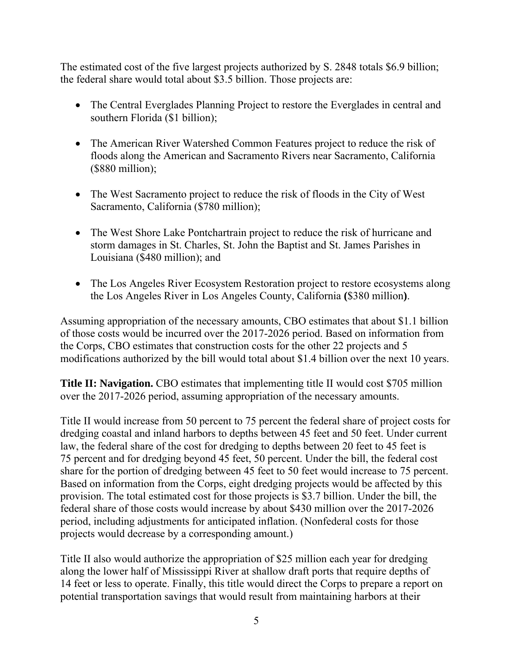The estimated cost of the five largest projects authorized by S. 2848 totals \$6.9 billion; the federal share would total about \$3.5 billion. Those projects are:

- The Central Everglades Planning Project to restore the Everglades in central and southern Florida (\$1 billion);
- The American River Watershed Common Features project to reduce the risk of floods along the American and Sacramento Rivers near Sacramento, California (\$880 million);
- The West Sacramento project to reduce the risk of floods in the City of West Sacramento, California (\$780 million);
- The West Shore Lake Pontchartrain project to reduce the risk of hurricane and storm damages in St. Charles, St. John the Baptist and St. James Parishes in Louisiana (\$480 million); and
- The Los Angeles River Ecosystem Restoration project to restore ecosystems along the Los Angeles River in Los Angeles County, California **(**\$380 million**)**.

Assuming appropriation of the necessary amounts, CBO estimates that about \$1.1 billion of those costs would be incurred over the 2017-2026 period. Based on information from the Corps, CBO estimates that construction costs for the other 22 projects and 5 modifications authorized by the bill would total about \$1.4 billion over the next 10 years.

**Title II: Navigation.** CBO estimates that implementing title II would cost \$705 million over the 2017-2026 period, assuming appropriation of the necessary amounts.

Title II would increase from 50 percent to 75 percent the federal share of project costs for dredging coastal and inland harbors to depths between 45 feet and 50 feet. Under current law, the federal share of the cost for dredging to depths between 20 feet to 45 feet is 75 percent and for dredging beyond 45 feet, 50 percent. Under the bill, the federal cost share for the portion of dredging between 45 feet to 50 feet would increase to 75 percent. Based on information from the Corps, eight dredging projects would be affected by this provision. The total estimated cost for those projects is \$3.7 billion. Under the bill, the federal share of those costs would increase by about \$430 million over the 2017-2026 period, including adjustments for anticipated inflation. (Nonfederal costs for those projects would decrease by a corresponding amount.)

Title II also would authorize the appropriation of \$25 million each year for dredging along the lower half of Mississippi River at shallow draft ports that require depths of 14 feet or less to operate. Finally, this title would direct the Corps to prepare a report on potential transportation savings that would result from maintaining harbors at their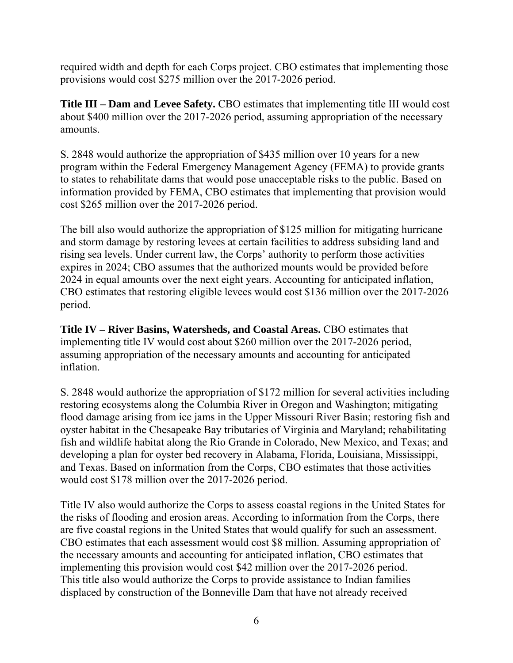required width and depth for each Corps project. CBO estimates that implementing those provisions would cost \$275 million over the 2017-2026 period.

**Title III – Dam and Levee Safety.** CBO estimates that implementing title III would cost about \$400 million over the 2017-2026 period, assuming appropriation of the necessary amounts.

S. 2848 would authorize the appropriation of \$435 million over 10 years for a new program within the Federal Emergency Management Agency (FEMA) to provide grants to states to rehabilitate dams that would pose unacceptable risks to the public. Based on information provided by FEMA, CBO estimates that implementing that provision would cost \$265 million over the 2017-2026 period.

The bill also would authorize the appropriation of \$125 million for mitigating hurricane and storm damage by restoring levees at certain facilities to address subsiding land and rising sea levels. Under current law, the Corps' authority to perform those activities expires in 2024; CBO assumes that the authorized mounts would be provided before 2024 in equal amounts over the next eight years. Accounting for anticipated inflation, CBO estimates that restoring eligible levees would cost \$136 million over the 2017-2026 period.

**Title IV – River Basins, Watersheds, and Coastal Areas.** CBO estimates that implementing title IV would cost about \$260 million over the 2017-2026 period, assuming appropriation of the necessary amounts and accounting for anticipated inflation.

S. 2848 would authorize the appropriation of \$172 million for several activities including restoring ecosystems along the Columbia River in Oregon and Washington; mitigating flood damage arising from ice jams in the Upper Missouri River Basin; restoring fish and oyster habitat in the Chesapeake Bay tributaries of Virginia and Maryland; rehabilitating fish and wildlife habitat along the Rio Grande in Colorado, New Mexico, and Texas; and developing a plan for oyster bed recovery in Alabama, Florida, Louisiana, Mississippi, and Texas. Based on information from the Corps, CBO estimates that those activities would cost \$178 million over the 2017-2026 period.

Title IV also would authorize the Corps to assess coastal regions in the United States for the risks of flooding and erosion areas. According to information from the Corps, there are five coastal regions in the United States that would qualify for such an assessment. CBO estimates that each assessment would cost \$8 million. Assuming appropriation of the necessary amounts and accounting for anticipated inflation, CBO estimates that implementing this provision would cost \$42 million over the 2017-2026 period. This title also would authorize the Corps to provide assistance to Indian families displaced by construction of the Bonneville Dam that have not already received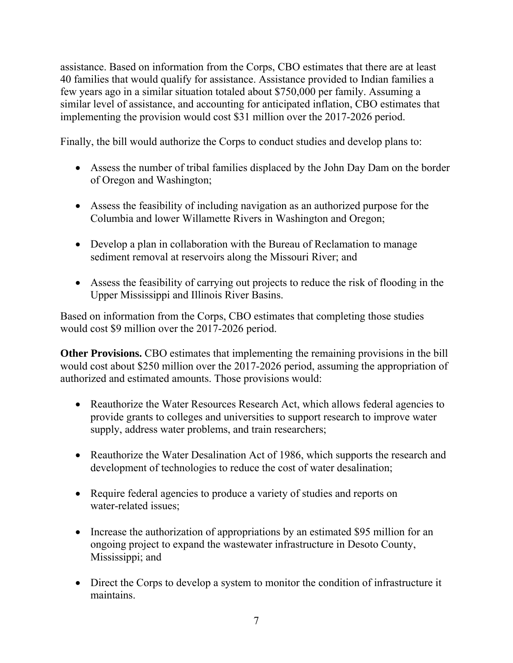assistance. Based on information from the Corps, CBO estimates that there are at least 40 families that would qualify for assistance. Assistance provided to Indian families a few years ago in a similar situation totaled about \$750,000 per family. Assuming a similar level of assistance, and accounting for anticipated inflation, CBO estimates that implementing the provision would cost \$31 million over the 2017-2026 period.

Finally, the bill would authorize the Corps to conduct studies and develop plans to:

- Assess the number of tribal families displaced by the John Day Dam on the border of Oregon and Washington;
- Assess the feasibility of including navigation as an authorized purpose for the Columbia and lower Willamette Rivers in Washington and Oregon;
- Develop a plan in collaboration with the Bureau of Reclamation to manage sediment removal at reservoirs along the Missouri River; and
- Assess the feasibility of carrying out projects to reduce the risk of flooding in the Upper Mississippi and Illinois River Basins.

Based on information from the Corps, CBO estimates that completing those studies would cost \$9 million over the 2017-2026 period.

**Other Provisions.** CBO estimates that implementing the remaining provisions in the bill would cost about \$250 million over the 2017-2026 period, assuming the appropriation of authorized and estimated amounts. Those provisions would:

- Reauthorize the Water Resources Research Act, which allows federal agencies to provide grants to colleges and universities to support research to improve water supply, address water problems, and train researchers;
- Reauthorize the Water Desalination Act of 1986, which supports the research and development of technologies to reduce the cost of water desalination;
- Require federal agencies to produce a variety of studies and reports on water-related issues;
- Increase the authorization of appropriations by an estimated \$95 million for an ongoing project to expand the wastewater infrastructure in Desoto County, Mississippi; and
- Direct the Corps to develop a system to monitor the condition of infrastructure it maintains.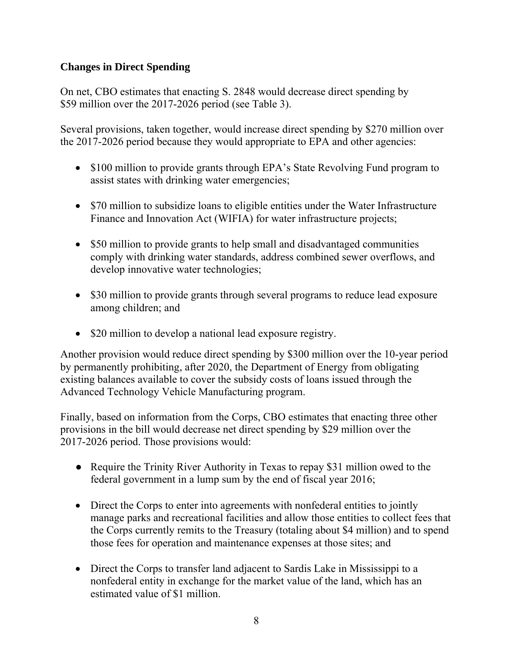### **Changes in Direct Spending**

On net, CBO estimates that enacting S. 2848 would decrease direct spending by \$59 million over the 2017-2026 period (see Table 3).

Several provisions, taken together, would increase direct spending by \$270 million over the 2017-2026 period because they would appropriate to EPA and other agencies:

- \$100 million to provide grants through EPA's State Revolving Fund program to assist states with drinking water emergencies;
- \$70 million to subsidize loans to eligible entities under the Water Infrastructure Finance and Innovation Act (WIFIA) for water infrastructure projects;
- \$50 million to provide grants to help small and disadvantaged communities comply with drinking water standards, address combined sewer overflows, and develop innovative water technologies;
- \$30 million to provide grants through several programs to reduce lead exposure among children; and
- \$20 million to develop a national lead exposure registry.

Another provision would reduce direct spending by \$300 million over the 10-year period by permanently prohibiting, after 2020, the Department of Energy from obligating existing balances available to cover the subsidy costs of loans issued through the Advanced Technology Vehicle Manufacturing program.

Finally, based on information from the Corps, CBO estimates that enacting three other provisions in the bill would decrease net direct spending by \$29 million over the 2017-2026 period. Those provisions would:

- Require the Trinity River Authority in Texas to repay \$31 million owed to the federal government in a lump sum by the end of fiscal year 2016;
- Direct the Corps to enter into agreements with nonfederal entities to jointly manage parks and recreational facilities and allow those entities to collect fees that the Corps currently remits to the Treasury (totaling about \$4 million) and to spend those fees for operation and maintenance expenses at those sites; and
- Direct the Corps to transfer land adjacent to Sardis Lake in Mississippi to a nonfederal entity in exchange for the market value of the land, which has an estimated value of \$1 million.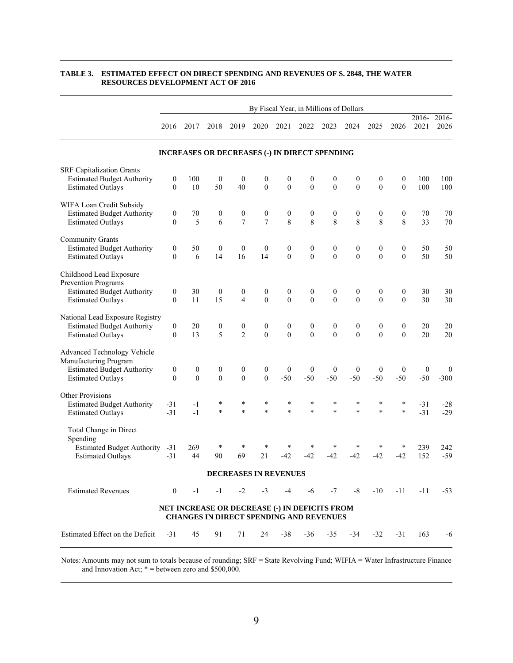|                                                                                                                       | By Fiscal Year, in Millions of Dollars |                                      |                                      |                                    |                                    |                                                                                                 |                                      |                                  |                                      |                                  |                              |                           |                            |
|-----------------------------------------------------------------------------------------------------------------------|----------------------------------------|--------------------------------------|--------------------------------------|------------------------------------|------------------------------------|-------------------------------------------------------------------------------------------------|--------------------------------------|----------------------------------|--------------------------------------|----------------------------------|------------------------------|---------------------------|----------------------------|
|                                                                                                                       | 2016                                   | 2017                                 | 2018                                 | 2019                               | 2020                               | 2021                                                                                            | 2022                                 | 2023                             | 2024                                 | 2025                             | 2026                         | $2016 -$<br>2021          | 2016-<br>2026              |
|                                                                                                                       |                                        |                                      |                                      |                                    |                                    | <b>INCREASES OR DECREASES (-) IN DIRECT SPENDING</b>                                            |                                      |                                  |                                      |                                  |                              |                           |                            |
| <b>SRF Capitalization Grants</b><br><b>Estimated Budget Authority</b><br><b>Estimated Outlays</b>                     | $\boldsymbol{0}$<br>$\mathbf{0}$       | 100<br>10                            | $\theta$<br>50                       | $\boldsymbol{0}$<br>40             | $\boldsymbol{0}$<br>$\theta$       | $\boldsymbol{0}$<br>$\boldsymbol{0}$                                                            | $\boldsymbol{0}$<br>$\boldsymbol{0}$ | $\boldsymbol{0}$<br>$\mathbf{0}$ | $\boldsymbol{0}$<br>$\boldsymbol{0}$ | 0<br>$\theta$                    | $\boldsymbol{0}$<br>$\theta$ | 100<br>100                | 100<br>100                 |
| WIFA Loan Credit Subsidy<br><b>Estimated Budget Authority</b><br><b>Estimated Outlays</b>                             | $\boldsymbol{0}$<br>$\theta$           | 70<br>5                              | 0<br>6                               | $\boldsymbol{0}$<br>$\overline{7}$ | $\boldsymbol{0}$<br>$\overline{7}$ | $\boldsymbol{0}$<br>8                                                                           | $\boldsymbol{0}$<br>8                | $\boldsymbol{0}$<br>8            | $\boldsymbol{0}$<br>8                | $\boldsymbol{0}$<br>8            | $\boldsymbol{0}$<br>8        | 70<br>33                  | 70<br>70                   |
| <b>Community Grants</b><br><b>Estimated Budget Authority</b><br><b>Estimated Outlays</b>                              | $\boldsymbol{0}$<br>$\mathbf{0}$       | 50<br>6                              | $\boldsymbol{0}$<br>14               | $\boldsymbol{0}$<br>16             | $\mathbf{0}$<br>14                 | $\boldsymbol{0}$<br>$\theta$                                                                    | $\boldsymbol{0}$<br>$\mathbf{0}$     | $\boldsymbol{0}$<br>$\mathbf{0}$ | $\boldsymbol{0}$<br>$\theta$         | $\boldsymbol{0}$<br>$\theta$     | $\boldsymbol{0}$<br>$\theta$ | 50<br>50                  | 50<br>50                   |
| Childhood Lead Exposure<br>Prevention Programs<br><b>Estimated Budget Authority</b><br><b>Estimated Outlays</b>       | $\boldsymbol{0}$<br>$\theta$           | 30<br>11                             | $\boldsymbol{0}$<br>15               | $\boldsymbol{0}$<br>$\overline{4}$ | $\boldsymbol{0}$<br>$\theta$       | $\boldsymbol{0}$<br>$\theta$                                                                    | $\boldsymbol{0}$<br>$\theta$         | $\boldsymbol{0}$<br>$\theta$     | $\boldsymbol{0}$<br>$\theta$         | $\boldsymbol{0}$<br>$\mathbf{0}$ | $\boldsymbol{0}$<br>$\theta$ | 30<br>30                  | 30<br>30                   |
| National Lead Exposure Registry<br><b>Estimated Budget Authority</b><br><b>Estimated Outlays</b>                      | $\boldsymbol{0}$<br>$\theta$           | 20<br>13                             | $\boldsymbol{0}$<br>5                | $\boldsymbol{0}$<br>$\overline{2}$ | $\boldsymbol{0}$<br>$\theta$       | $\boldsymbol{0}$<br>$\theta$                                                                    | $\boldsymbol{0}$<br>$\theta$         | $\boldsymbol{0}$<br>$\theta$     | $\boldsymbol{0}$<br>$\theta$         | $\boldsymbol{0}$<br>$\Omega$     | $\boldsymbol{0}$<br>$\Omega$ | 20<br>20                  | 20<br>20                   |
| Advanced Technology Vehicle<br>Manufacturing Program<br><b>Estimated Budget Authority</b><br><b>Estimated Outlays</b> | $\boldsymbol{0}$<br>$\mathbf{0}$       | $\boldsymbol{0}$<br>$\boldsymbol{0}$ | $\boldsymbol{0}$<br>$\boldsymbol{0}$ | $\boldsymbol{0}$<br>$\overline{0}$ | $\boldsymbol{0}$<br>$\mathbf{0}$   | $\boldsymbol{0}$<br>$-50$                                                                       | $\boldsymbol{0}$<br>$-50$            | $\boldsymbol{0}$<br>$-50$        | $\mathbf{0}$<br>$-50$                | $\boldsymbol{0}$<br>$-50$        | $\mathbf{0}$<br>$-50$        | $\boldsymbol{0}$<br>$-50$ | $\boldsymbol{0}$<br>$-300$ |
| Other Provisions<br><b>Estimated Budget Authority</b><br><b>Estimated Outlays</b>                                     | $-31$<br>$-31$                         | $-1$<br>$-1$                         | ¥<br>$\ast$                          | $\ast$<br>$\ast$                   | $\ast$<br>$\ast$                   | $\ast$<br>$\ast$                                                                                | $\ast$<br>$\ast$                     | *<br>$\ast$                      | $\ast$<br>$\ast$                     | $\ast$<br>$\ast$                 | *<br>$\ast$                  | $-31$<br>$-31$            | $-28$<br>$-29$             |
| Total Change in Direct<br>Spending<br><b>Estimated Budget Authority</b><br><b>Estimated Outlays</b>                   | $-31$<br>$-31$                         | 269<br>44                            | $\ast$<br>90                         | $\ast$<br>69                       | ÷<br>21                            | $-42$                                                                                           | ÷<br>$-42$                           | *<br>-42                         | -42                                  | *<br>$-42$                       | *<br>$-42$                   | 239<br>152                | 242<br>$-59$               |
|                                                                                                                       |                                        |                                      |                                      |                                    |                                    | DECREASES IN REVENUES                                                                           |                                      |                                  |                                      |                                  |                              |                           |                            |
| <b>Estimated Revenues</b>                                                                                             | $\overline{0}$                         | $-1$                                 | $-1$                                 | $-2$                               | $-3$                               | $-4$                                                                                            | $-6$                                 |                                  | $-7 - 8$                             | $-10$                            | $-11$                        | $-11$                     | $-53$                      |
|                                                                                                                       |                                        |                                      |                                      |                                    |                                    | NET INCREASE OR DECREASE (-) IN DEFICITS FROM<br><b>CHANGES IN DIRECT SPENDING AND REVENUES</b> |                                      |                                  |                                      |                                  |                              |                           |                            |
| Estimated Effect on the Deficit                                                                                       | $-31$                                  | 45                                   | 91                                   | 71                                 | 24                                 | $-38$                                                                                           | $-36$                                | $-35$                            | $-34$                                | $-32$                            | $-31$                        | 163                       | -6                         |

#### **TABLE 3. ESTIMATED EFFECT ON DIRECT SPENDING AND REVENUES OF S. 2848, THE WATER RESOURCES DEVELOPMENT ACT OF 2016**

Notes: Amounts may not sum to totals because of rounding; SRF = State Revolving Fund; WIFIA = Water Infrastructure Finance and Innovation Act;  $* =$  between zero and \$500,000.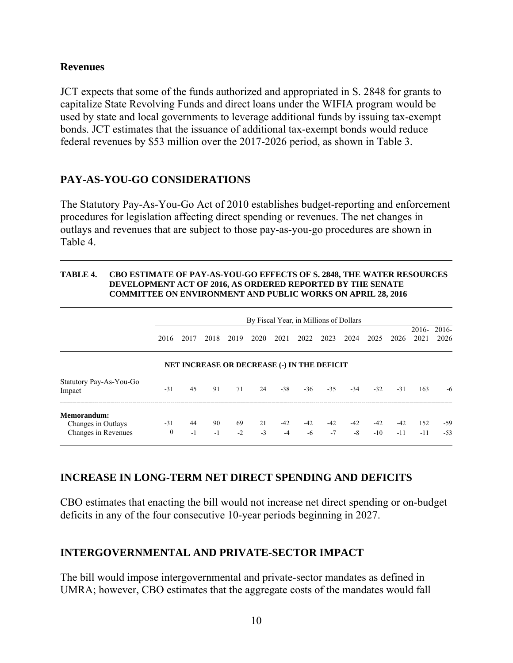### **Revenues**

JCT expects that some of the funds authorized and appropriated in S. 2848 for grants to capitalize State Revolving Funds and direct loans under the WIFIA program would be used by state and local governments to leverage additional funds by issuing tax-exempt bonds. JCT estimates that the issuance of additional tax-exempt bonds would reduce federal revenues by \$53 million over the 2017-2026 period, as shown in Table 3.

## **PAY-AS-YOU-GO CONSIDERATIONS**

The Statutory Pay-As-You-Go Act of 2010 establishes budget-reporting and enforcement procedures for legislation affecting direct spending or revenues. The net changes in outlays and revenues that are subject to those pay-as-you-go procedures are shown in Table 4.

#### **TABLE 4. CBO ESTIMATE OF PAY-AS-YOU-GO EFFECTS OF S. 2848, THE WATER RESOURCES DEVELOPMENT ACT OF 2016, AS ORDERED REPORTED BY THE SENATE COMMITTEE ON ENVIRONMENT AND PUBLIC WORKS ON APRIL 28, 2016**

|                                                          | 2016                                        | 2017       | 2018       | 2019        | By Fiscal Year, in Millions of Dollars<br>2020 | 2021        | 2022          | 2023        | 2024          | 2025           | 2026           | 2021         | $2016 - 2016$<br>2026 |  |
|----------------------------------------------------------|---------------------------------------------|------------|------------|-------------|------------------------------------------------|-------------|---------------|-------------|---------------|----------------|----------------|--------------|-----------------------|--|
|                                                          | NET INCREASE OR DECREASE (-) IN THE DEFICIT |            |            |             |                                                |             |               |             |               |                |                |              |                       |  |
| Statutory Pay-As-You-Go<br>Impact                        | $-31$                                       | 45         | 91         | 71          | 24                                             | $-38$       | $-36$         | $-3.5$      | $-34$         | $-32$          | $-31$          | 163          | -6                    |  |
| Memorandum:<br>Changes in Outlays<br>Changes in Revenues | $-31$<br>$\mathbf{0}$                       | 44<br>$-1$ | 90<br>$-1$ | -69<br>$-2$ | 21<br>$-3$                                     | -42<br>$-4$ | $-42$<br>$-6$ | -42<br>$-7$ | $-42$<br>$-8$ | $-42$<br>$-10$ | $-42$<br>$-11$ | 152<br>$-11$ | $-59$<br>$-53$        |  |

## **INCREASE IN LONG-TERM NET DIRECT SPENDING AND DEFICITS**

CBO estimates that enacting the bill would not increase net direct spending or on-budget deficits in any of the four consecutive 10-year periods beginning in 2027.

## **INTERGOVERNMENTAL AND PRIVATE-SECTOR IMPACT**

The bill would impose intergovernmental and private-sector mandates as defined in UMRA; however, CBO estimates that the aggregate costs of the mandates would fall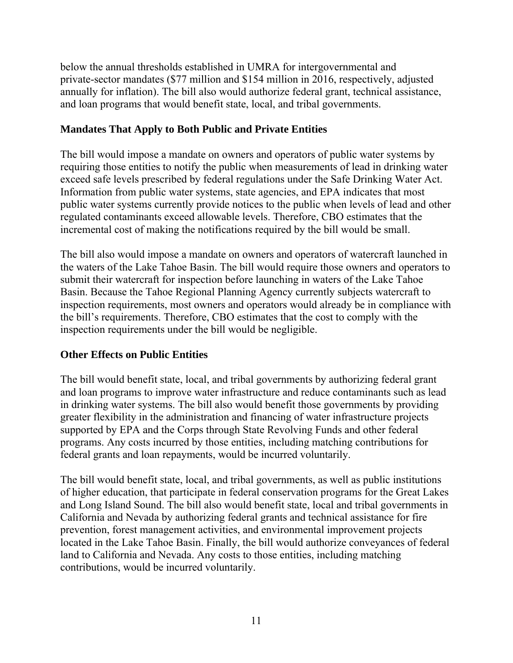below the annual thresholds established in UMRA for intergovernmental and private-sector mandates (\$77 million and \$154 million in 2016, respectively, adjusted annually for inflation). The bill also would authorize federal grant, technical assistance, and loan programs that would benefit state, local, and tribal governments.

## **Mandates That Apply to Both Public and Private Entities**

The bill would impose a mandate on owners and operators of public water systems by requiring those entities to notify the public when measurements of lead in drinking water exceed safe levels prescribed by federal regulations under the Safe Drinking Water Act. Information from public water systems, state agencies, and EPA indicates that most public water systems currently provide notices to the public when levels of lead and other regulated contaminants exceed allowable levels. Therefore, CBO estimates that the incremental cost of making the notifications required by the bill would be small.

The bill also would impose a mandate on owners and operators of watercraft launched in the waters of the Lake Tahoe Basin. The bill would require those owners and operators to submit their watercraft for inspection before launching in waters of the Lake Tahoe Basin. Because the Tahoe Regional Planning Agency currently subjects watercraft to inspection requirements, most owners and operators would already be in compliance with the bill's requirements. Therefore, CBO estimates that the cost to comply with the inspection requirements under the bill would be negligible.

## **Other Effects on Public Entities**

The bill would benefit state, local, and tribal governments by authorizing federal grant and loan programs to improve water infrastructure and reduce contaminants such as lead in drinking water systems. The bill also would benefit those governments by providing greater flexibility in the administration and financing of water infrastructure projects supported by EPA and the Corps through State Revolving Funds and other federal programs. Any costs incurred by those entities, including matching contributions for federal grants and loan repayments, would be incurred voluntarily.

The bill would benefit state, local, and tribal governments, as well as public institutions of higher education, that participate in federal conservation programs for the Great Lakes and Long Island Sound. The bill also would benefit state, local and tribal governments in California and Nevada by authorizing federal grants and technical assistance for fire prevention, forest management activities, and environmental improvement projects located in the Lake Tahoe Basin. Finally, the bill would authorize conveyances of federal land to California and Nevada. Any costs to those entities, including matching contributions, would be incurred voluntarily.